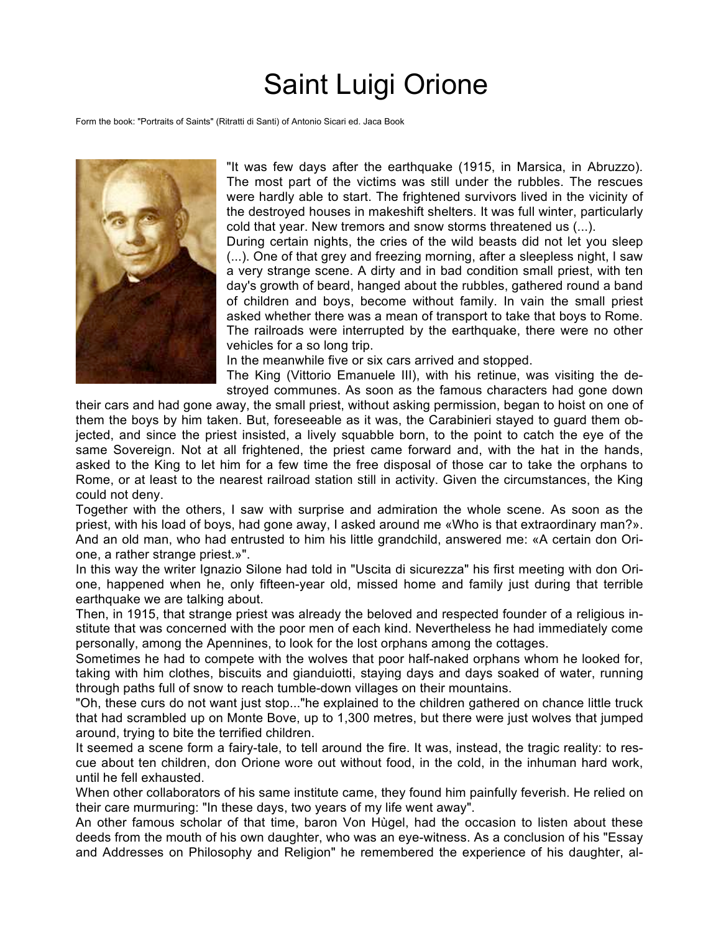## Saint Luigi Orione

Form the book: "Portraits of Saints" (Ritratti di Santi) of Antonio Sicari ed. Jaca Book



"It was few days after the earthquake (1915, in Marsica, in Abruzzo). The most part of the victims was still under the rubbles. The rescues were hardly able to start. The frightened survivors lived in the vicinity of the destroyed houses in makeshift shelters. It was full winter, particularly cold that year. New tremors and snow storms threatened us (...).

During certain nights, the cries of the wild beasts did not let you sleep (...). One of that grey and freezing morning, after a sleepless night, I saw a very strange scene. A dirty and in bad condition small priest, with ten day's growth of beard, hanged about the rubbles, gathered round a band of children and boys, become without family. In vain the small priest asked whether there was a mean of transport to take that boys to Rome. The railroads were interrupted by the earthquake, there were no other vehicles for a so long trip.

In the meanwhile five or six cars arrived and stopped.

The King (Vittorio Emanuele III), with his retinue, was visiting the destroyed communes. As soon as the famous characters had gone down

their cars and had gone away, the small priest, without asking permission, began to hoist on one of them the boys by him taken. But, foreseeable as it was, the Carabinieri stayed to guard them objected, and since the priest insisted, a lively squabble born, to the point to catch the eye of the same Sovereign. Not at all frightened, the priest came forward and, with the hat in the hands, asked to the King to let him for a few time the free disposal of those car to take the orphans to Rome, or at least to the nearest railroad station still in activity. Given the circumstances, the King could not deny.

Together with the others, I saw with surprise and admiration the whole scene. As soon as the priest, with his load of boys, had gone away, I asked around me «Who is that extraordinary man?». And an old man, who had entrusted to him his little grandchild, answered me: «A certain don Orione, a rather strange priest.»".

In this way the writer Ignazio Silone had told in "Uscita di sicurezza" his first meeting with don Orione, happened when he, only fifteen-year old, missed home and family just during that terrible earthquake we are talking about.

Then, in 1915, that strange priest was already the beloved and respected founder of a religious institute that was concerned with the poor men of each kind. Nevertheless he had immediately come personally, among the Apennines, to look for the lost orphans among the cottages.

Sometimes he had to compete with the wolves that poor half-naked orphans whom he looked for, taking with him clothes, biscuits and gianduiotti, staying days and days soaked of water, running through paths full of snow to reach tumble-down villages on their mountains.

"Oh, these curs do not want just stop..."he explained to the children gathered on chance little truck that had scrambled up on Monte Bove, up to 1,300 metres, but there were just wolves that jumped around, trying to bite the terrified children.

It seemed a scene form a fairy-tale, to tell around the fire. It was, instead, the tragic reality: to rescue about ten children, don Orione wore out without food, in the cold, in the inhuman hard work, until he fell exhausted.

When other collaborators of his same institute came, they found him painfully feverish. He relied on their care murmuring: "In these days, two years of my life went away".

An other famous scholar of that time, baron Von Hùgel, had the occasion to listen about these deeds from the mouth of his own daughter, who was an eye-witness. As a conclusion of his "Essay and Addresses on Philosophy and Religion" he remembered the experience of his daughter, al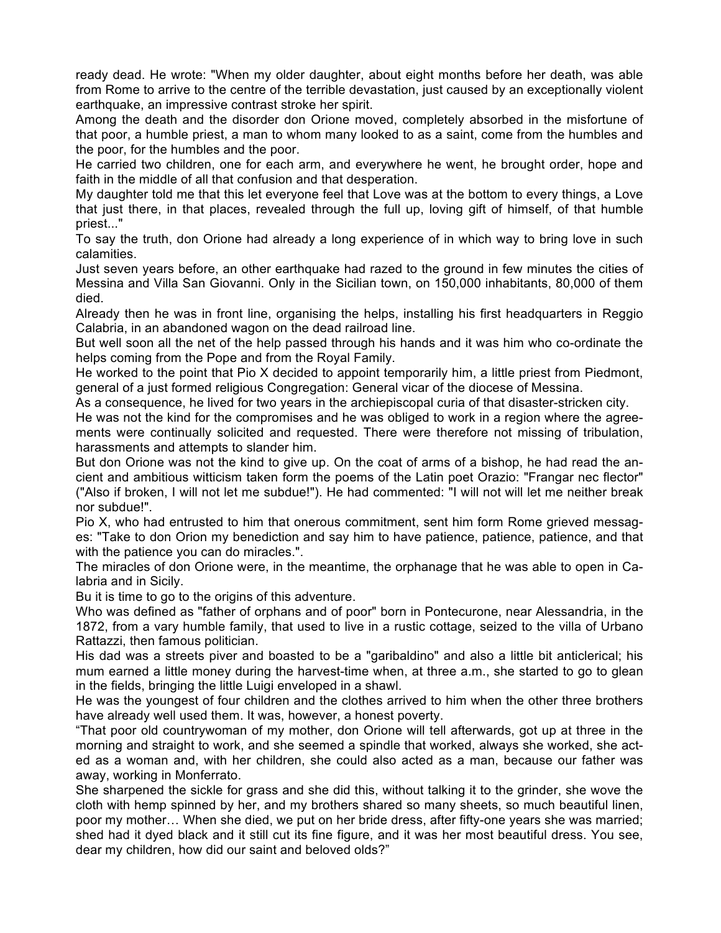ready dead. He wrote: "When my older daughter, about eight months before her death, was able from Rome to arrive to the centre of the terrible devastation, just caused by an exceptionally violent earthquake, an impressive contrast stroke her spirit.

Among the death and the disorder don Orione moved, completely absorbed in the misfortune of that poor, a humble priest, a man to whom many looked to as a saint, come from the humbles and the poor, for the humbles and the poor.

He carried two children, one for each arm, and everywhere he went, he brought order, hope and faith in the middle of all that confusion and that desperation.

My daughter told me that this let everyone feel that Love was at the bottom to every things, a Love that just there, in that places, revealed through the full up, loving gift of himself, of that humble priest..."

To say the truth, don Orione had already a long experience of in which way to bring love in such calamities.

Just seven years before, an other earthquake had razed to the ground in few minutes the cities of Messina and Villa San Giovanni. Only in the Sicilian town, on 150,000 inhabitants, 80,000 of them died.

Already then he was in front line, organising the helps, installing his first headquarters in Reggio Calabria, in an abandoned wagon on the dead railroad line.

But well soon all the net of the help passed through his hands and it was him who co-ordinate the helps coming from the Pope and from the Royal Family.

He worked to the point that Pio X decided to appoint temporarily him, a little priest from Piedmont, general of a just formed religious Congregation: General vicar of the diocese of Messina.

As a consequence, he lived for two years in the archiepiscopal curia of that disaster-stricken city.

He was not the kind for the compromises and he was obliged to work in a region where the agreements were continually solicited and requested. There were therefore not missing of tribulation, harassments and attempts to slander him.

But don Orione was not the kind to give up. On the coat of arms of a bishop, he had read the ancient and ambitious witticism taken form the poems of the Latin poet Orazio: "Frangar nec flector" ("Also if broken, I will not let me subdue!"). He had commented: "I will not will let me neither break nor subdue!".

Pio X, who had entrusted to him that onerous commitment, sent him form Rome grieved messages: "Take to don Orion my benediction and say him to have patience, patience, patience, and that with the patience you can do miracles.".

The miracles of don Orione were, in the meantime, the orphanage that he was able to open in Calabria and in Sicily.

Bu it is time to go to the origins of this adventure.

Who was defined as "father of orphans and of poor" born in Pontecurone, near Alessandria, in the 1872, from a vary humble family, that used to live in a rustic cottage, seized to the villa of Urbano Rattazzi, then famous politician.

His dad was a streets piver and boasted to be a "garibaldino" and also a little bit anticlerical; his mum earned a little money during the harvest-time when, at three a.m., she started to go to glean in the fields, bringing the little Luigi enveloped in a shawl.

He was the youngest of four children and the clothes arrived to him when the other three brothers have already well used them. It was, however, a honest poverty.

"That poor old countrywoman of my mother, don Orione will tell afterwards, got up at three in the morning and straight to work, and she seemed a spindle that worked, always she worked, she acted as a woman and, with her children, she could also acted as a man, because our father was away, working in Monferrato.

She sharpened the sickle for grass and she did this, without talking it to the grinder, she wove the cloth with hemp spinned by her, and my brothers shared so many sheets, so much beautiful linen, poor my mother… When she died, we put on her bride dress, after fifty-one years she was married; shed had it dyed black and it still cut its fine figure, and it was her most beautiful dress. You see, dear my children, how did our saint and beloved olds?"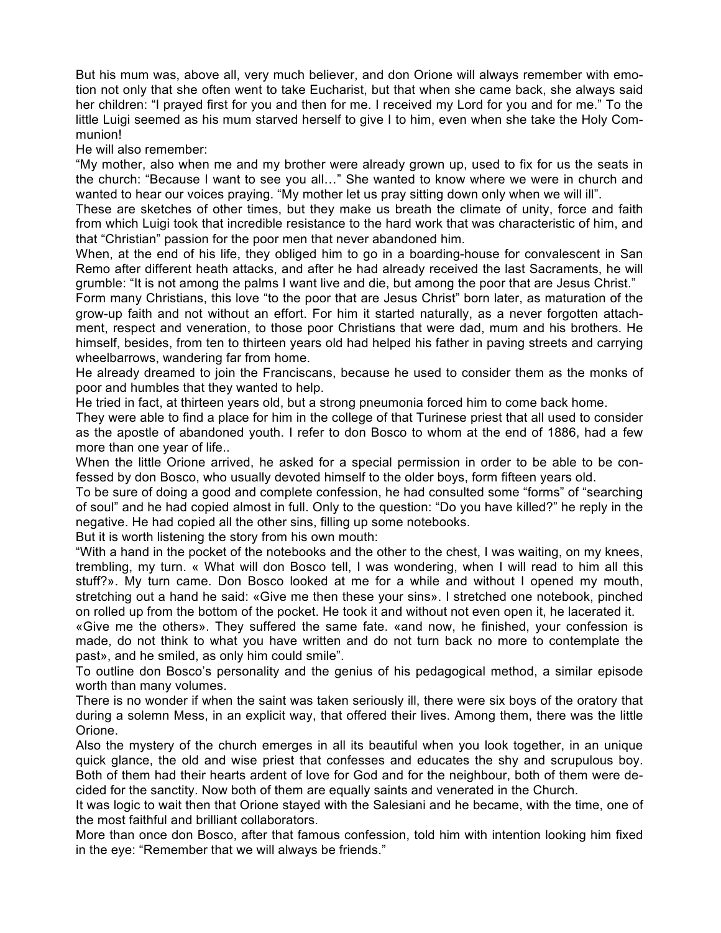But his mum was, above all, very much believer, and don Orione will always remember with emotion not only that she often went to take Eucharist, but that when she came back, she always said her children: "I prayed first for you and then for me. I received my Lord for you and for me." To the little Luigi seemed as his mum starved herself to give I to him, even when she take the Holy Communion!

He will also remember:

"My mother, also when me and my brother were already grown up, used to fix for us the seats in the church: "Because I want to see you all…" She wanted to know where we were in church and wanted to hear our voices praying. "My mother let us pray sitting down only when we will ill".

These are sketches of other times, but they make us breath the climate of unity, force and faith from which Luigi took that incredible resistance to the hard work that was characteristic of him, and that "Christian" passion for the poor men that never abandoned him.

When, at the end of his life, they obliged him to go in a boarding-house for convalescent in San Remo after different heath attacks, and after he had already received the last Sacraments, he will grumble: "It is not among the palms I want live and die, but among the poor that are Jesus Christ."

Form many Christians, this love "to the poor that are Jesus Christ" born later, as maturation of the grow-up faith and not without an effort. For him it started naturally, as a never forgotten attachment, respect and veneration, to those poor Christians that were dad, mum and his brothers. He himself, besides, from ten to thirteen years old had helped his father in paving streets and carrying wheelbarrows, wandering far from home.

He already dreamed to join the Franciscans, because he used to consider them as the monks of poor and humbles that they wanted to help.

He tried in fact, at thirteen years old, but a strong pneumonia forced him to come back home.

They were able to find a place for him in the college of that Turinese priest that all used to consider as the apostle of abandoned youth. I refer to don Bosco to whom at the end of 1886, had a few more than one year of life..

When the little Orione arrived, he asked for a special permission in order to be able to be confessed by don Bosco, who usually devoted himself to the older boys, form fifteen years old.

To be sure of doing a good and complete confession, he had consulted some "forms" of "searching of soul" and he had copied almost in full. Only to the question: "Do you have killed?" he reply in the negative. He had copied all the other sins, filling up some notebooks.

But it is worth listening the story from his own mouth:

"With a hand in the pocket of the notebooks and the other to the chest, I was waiting, on my knees, trembling, my turn. « What will don Bosco tell, I was wondering, when I will read to him all this stuff?». My turn came. Don Bosco looked at me for a while and without I opened my mouth, stretching out a hand he said: «Give me then these your sins». I stretched one notebook, pinched on rolled up from the bottom of the pocket. He took it and without not even open it, he lacerated it.

«Give me the others». They suffered the same fate. «and now, he finished, your confession is made, do not think to what you have written and do not turn back no more to contemplate the past», and he smiled, as only him could smile".

To outline don Bosco's personality and the genius of his pedagogical method, a similar episode worth than many volumes.

There is no wonder if when the saint was taken seriously ill, there were six boys of the oratory that during a solemn Mess, in an explicit way, that offered their lives. Among them, there was the little Orione.

Also the mystery of the church emerges in all its beautiful when you look together, in an unique quick glance, the old and wise priest that confesses and educates the shy and scrupulous boy. Both of them had their hearts ardent of love for God and for the neighbour, both of them were decided for the sanctity. Now both of them are equally saints and venerated in the Church.

It was logic to wait then that Orione stayed with the Salesiani and he became, with the time, one of the most faithful and brilliant collaborators.

More than once don Bosco, after that famous confession, told him with intention looking him fixed in the eye: "Remember that we will always be friends."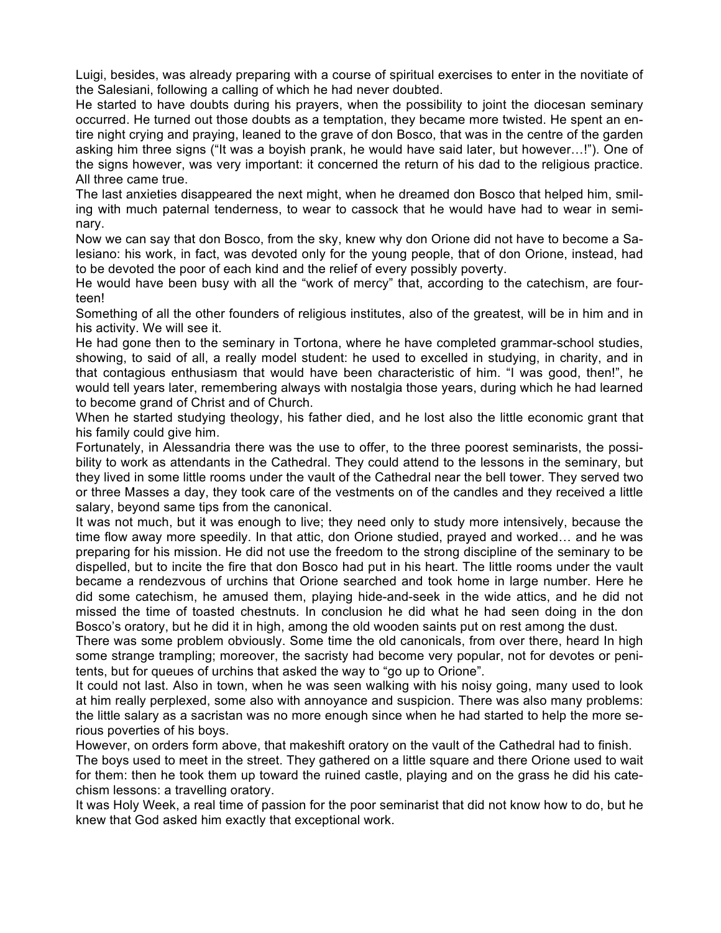Luigi, besides, was already preparing with a course of spiritual exercises to enter in the novitiate of the Salesiani, following a calling of which he had never doubted.

He started to have doubts during his prayers, when the possibility to joint the diocesan seminary occurred. He turned out those doubts as a temptation, they became more twisted. He spent an entire night crying and praying, leaned to the grave of don Bosco, that was in the centre of the garden asking him three signs ("It was a boyish prank, he would have said later, but however…!"). One of the signs however, was very important: it concerned the return of his dad to the religious practice. All three came true.

The last anxieties disappeared the next might, when he dreamed don Bosco that helped him, smiling with much paternal tenderness, to wear to cassock that he would have had to wear in seminary.

Now we can say that don Bosco, from the sky, knew why don Orione did not have to become a Salesiano: his work, in fact, was devoted only for the young people, that of don Orione, instead, had to be devoted the poor of each kind and the relief of every possibly poverty.

He would have been busy with all the "work of mercy" that, according to the catechism, are fourteen!

Something of all the other founders of religious institutes, also of the greatest, will be in him and in his activity. We will see it.

He had gone then to the seminary in Tortona, where he have completed grammar-school studies, showing, to said of all, a really model student: he used to excelled in studying, in charity, and in that contagious enthusiasm that would have been characteristic of him. "I was good, then!", he would tell years later, remembering always with nostalgia those years, during which he had learned to become grand of Christ and of Church.

When he started studying theology, his father died, and he lost also the little economic grant that his family could give him.

Fortunately, in Alessandria there was the use to offer, to the three poorest seminarists, the possibility to work as attendants in the Cathedral. They could attend to the lessons in the seminary, but they lived in some little rooms under the vault of the Cathedral near the bell tower. They served two or three Masses a day, they took care of the vestments on of the candles and they received a little salary, beyond same tips from the canonical.

It was not much, but it was enough to live; they need only to study more intensively, because the time flow away more speedily. In that attic, don Orione studied, prayed and worked… and he was preparing for his mission. He did not use the freedom to the strong discipline of the seminary to be dispelled, but to incite the fire that don Bosco had put in his heart. The little rooms under the vault became a rendezvous of urchins that Orione searched and took home in large number. Here he did some catechism, he amused them, playing hide-and-seek in the wide attics, and he did not missed the time of toasted chestnuts. In conclusion he did what he had seen doing in the don Bosco's oratory, but he did it in high, among the old wooden saints put on rest among the dust.

There was some problem obviously. Some time the old canonicals, from over there, heard In high some strange trampling; moreover, the sacristy had become very popular, not for devotes or penitents, but for queues of urchins that asked the way to "go up to Orione".

It could not last. Also in town, when he was seen walking with his noisy going, many used to look at him really perplexed, some also with annoyance and suspicion. There was also many problems: the little salary as a sacristan was no more enough since when he had started to help the more serious poverties of his boys.

However, on orders form above, that makeshift oratory on the vault of the Cathedral had to finish.

The boys used to meet in the street. They gathered on a little square and there Orione used to wait for them: then he took them up toward the ruined castle, playing and on the grass he did his catechism lessons: a travelling oratory.

It was Holy Week, a real time of passion for the poor seminarist that did not know how to do, but he knew that God asked him exactly that exceptional work.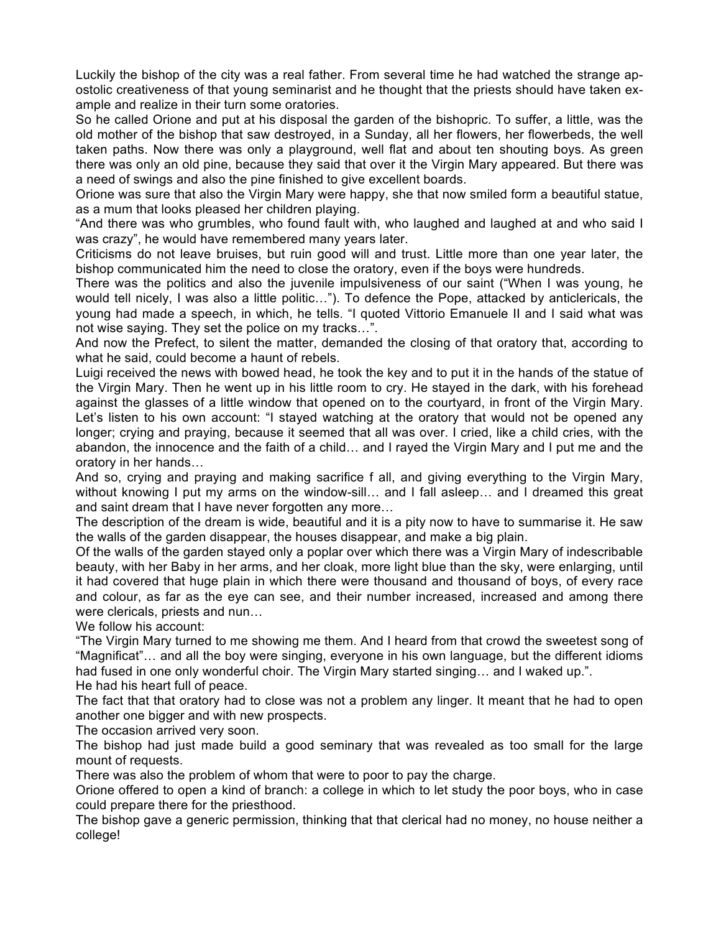Luckily the bishop of the city was a real father. From several time he had watched the strange apostolic creativeness of that young seminarist and he thought that the priests should have taken example and realize in their turn some oratories.

So he called Orione and put at his disposal the garden of the bishopric. To suffer, a little, was the old mother of the bishop that saw destroyed, in a Sunday, all her flowers, her flowerbeds, the well taken paths. Now there was only a playground, well flat and about ten shouting boys. As green there was only an old pine, because they said that over it the Virgin Mary appeared. But there was a need of swings and also the pine finished to give excellent boards.

Orione was sure that also the Virgin Mary were happy, she that now smiled form a beautiful statue, as a mum that looks pleased her children playing.

"And there was who grumbles, who found fault with, who laughed and laughed at and who said I was crazy", he would have remembered many years later.

Criticisms do not leave bruises, but ruin good will and trust. Little more than one year later, the bishop communicated him the need to close the oratory, even if the boys were hundreds.

There was the politics and also the juvenile impulsiveness of our saint ("When I was young, he would tell nicely, I was also a little politic…"). To defence the Pope, attacked by anticlericals, the young had made a speech, in which, he tells. "I quoted Vittorio Emanuele II and I said what was not wise saying. They set the police on my tracks…".

And now the Prefect, to silent the matter, demanded the closing of that oratory that, according to what he said, could become a haunt of rebels.

Luigi received the news with bowed head, he took the key and to put it in the hands of the statue of the Virgin Mary. Then he went up in his little room to cry. He stayed in the dark, with his forehead against the glasses of a little window that opened on to the courtyard, in front of the Virgin Mary. Let's listen to his own account: "I stayed watching at the oratory that would not be opened any longer; crying and praying, because it seemed that all was over. I cried, like a child cries, with the abandon, the innocence and the faith of a child… and I rayed the Virgin Mary and I put me and the oratory in her hands…

And so, crying and praying and making sacrifice f all, and giving everything to the Virgin Mary, without knowing I put my arms on the window-sill... and I fall asleep... and I dreamed this great and saint dream that I have never forgotten any more…

The description of the dream is wide, beautiful and it is a pity now to have to summarise it. He saw the walls of the garden disappear, the houses disappear, and make a big plain.

Of the walls of the garden stayed only a poplar over which there was a Virgin Mary of indescribable beauty, with her Baby in her arms, and her cloak, more light blue than the sky, were enlarging, until it had covered that huge plain in which there were thousand and thousand of boys, of every race and colour, as far as the eye can see, and their number increased, increased and among there were clericals, priests and nun…

We follow his account:

"The Virgin Mary turned to me showing me them. And I heard from that crowd the sweetest song of "Magnificat"… and all the boy were singing, everyone in his own language, but the different idioms had fused in one only wonderful choir. The Virgin Mary started singing… and I waked up.". He had his heart full of peace.

The fact that that oratory had to close was not a problem any linger. It meant that he had to open another one bigger and with new prospects.

The occasion arrived very soon.

The bishop had just made build a good seminary that was revealed as too small for the large mount of requests.

There was also the problem of whom that were to poor to pay the charge.

Orione offered to open a kind of branch: a college in which to let study the poor boys, who in case could prepare there for the priesthood.

The bishop gave a generic permission, thinking that that clerical had no money, no house neither a college!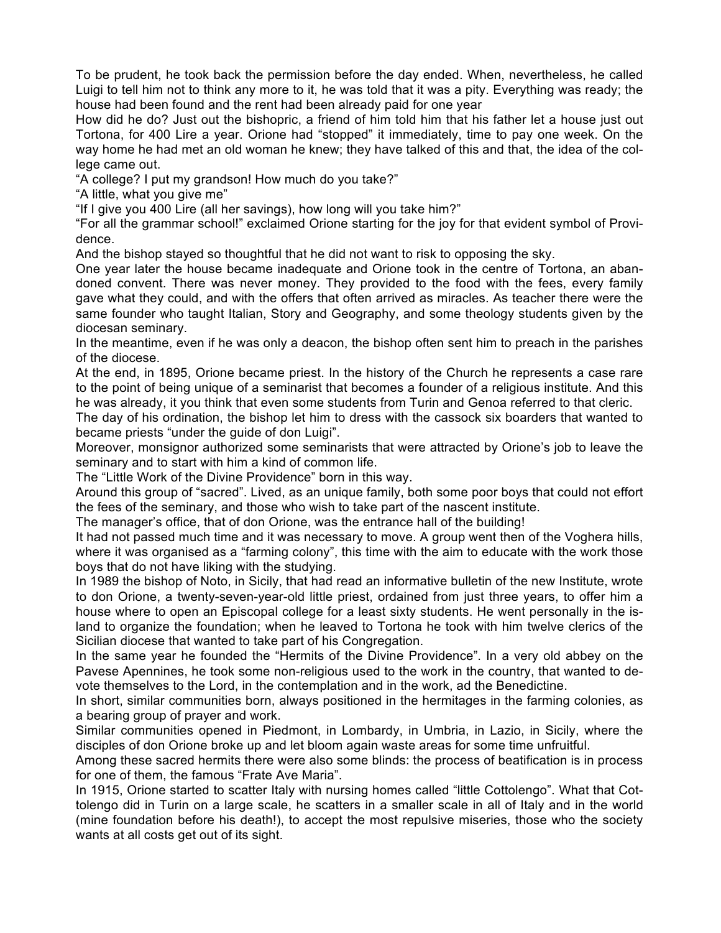To be prudent, he took back the permission before the day ended. When, nevertheless, he called Luigi to tell him not to think any more to it, he was told that it was a pity. Everything was ready; the house had been found and the rent had been already paid for one year

How did he do? Just out the bishopric, a friend of him told him that his father let a house just out Tortona, for 400 Lire a year. Orione had "stopped" it immediately, time to pay one week. On the way home he had met an old woman he knew; they have talked of this and that, the idea of the college came out.

"A college? I put my grandson! How much do you take?"

"A little, what you give me"

"If I give you 400 Lire (all her savings), how long will you take him?"

"For all the grammar school!" exclaimed Orione starting for the joy for that evident symbol of Providence.

And the bishop stayed so thoughtful that he did not want to risk to opposing the sky.

One year later the house became inadequate and Orione took in the centre of Tortona, an abandoned convent. There was never money. They provided to the food with the fees, every family gave what they could, and with the offers that often arrived as miracles. As teacher there were the same founder who taught Italian, Story and Geography, and some theology students given by the diocesan seminary.

In the meantime, even if he was only a deacon, the bishop often sent him to preach in the parishes of the diocese.

At the end, in 1895, Orione became priest. In the history of the Church he represents a case rare to the point of being unique of a seminarist that becomes a founder of a religious institute. And this he was already, it you think that even some students from Turin and Genoa referred to that cleric.

The day of his ordination, the bishop let him to dress with the cassock six boarders that wanted to became priests "under the guide of don Luigi".

Moreover, monsignor authorized some seminarists that were attracted by Orione's job to leave the seminary and to start with him a kind of common life.

The "Little Work of the Divine Providence" born in this way.

Around this group of "sacred". Lived, as an unique family, both some poor boys that could not effort the fees of the seminary, and those who wish to take part of the nascent institute.

The manager's office, that of don Orione, was the entrance hall of the building!

It had not passed much time and it was necessary to move. A group went then of the Voghera hills, where it was organised as a "farming colony", this time with the aim to educate with the work those boys that do not have liking with the studying.

In 1989 the bishop of Noto, in Sicily, that had read an informative bulletin of the new Institute, wrote to don Orione, a twenty-seven-year-old little priest, ordained from just three years, to offer him a house where to open an Episcopal college for a least sixty students. He went personally in the island to organize the foundation; when he leaved to Tortona he took with him twelve clerics of the Sicilian diocese that wanted to take part of his Congregation.

In the same year he founded the "Hermits of the Divine Providence". In a very old abbey on the Pavese Apennines, he took some non-religious used to the work in the country, that wanted to devote themselves to the Lord, in the contemplation and in the work, ad the Benedictine.

In short, similar communities born, always positioned in the hermitages in the farming colonies, as a bearing group of prayer and work.

Similar communities opened in Piedmont, in Lombardy, in Umbria, in Lazio, in Sicily, where the disciples of don Orione broke up and let bloom again waste areas for some time unfruitful.

Among these sacred hermits there were also some blinds: the process of beatification is in process for one of them, the famous "Frate Ave Maria".

In 1915, Orione started to scatter Italy with nursing homes called "little Cottolengo". What that Cottolengo did in Turin on a large scale, he scatters in a smaller scale in all of Italy and in the world (mine foundation before his death!), to accept the most repulsive miseries, those who the society wants at all costs get out of its sight.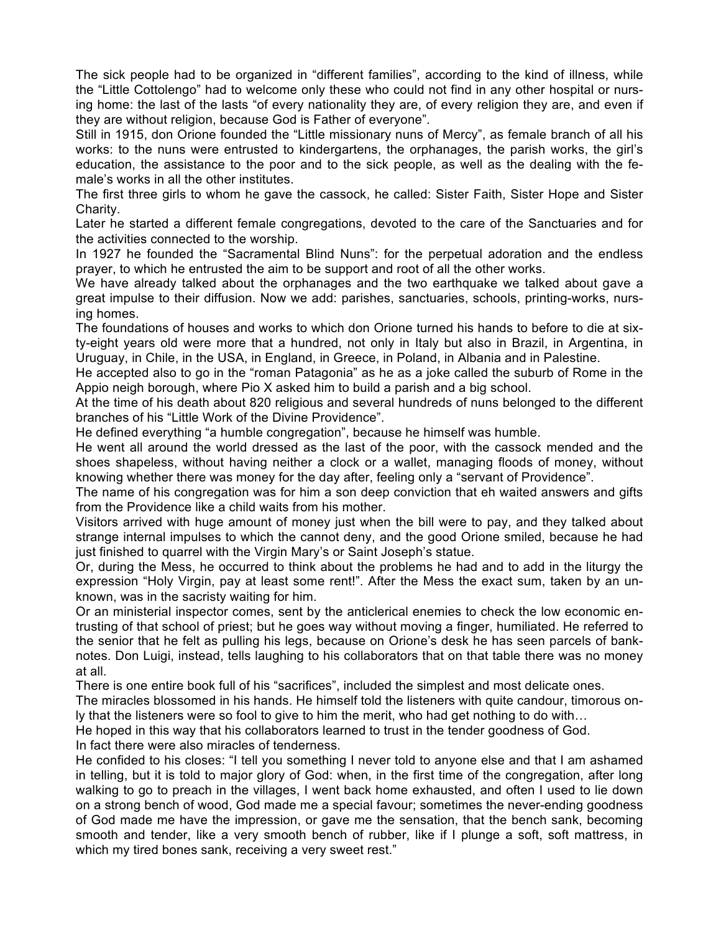The sick people had to be organized in "different families", according to the kind of illness, while the "Little Cottolengo" had to welcome only these who could not find in any other hospital or nursing home: the last of the lasts "of every nationality they are, of every religion they are, and even if they are without religion, because God is Father of everyone".

Still in 1915, don Orione founded the "Little missionary nuns of Mercy", as female branch of all his works: to the nuns were entrusted to kindergartens, the orphanages, the parish works, the girl's education, the assistance to the poor and to the sick people, as well as the dealing with the female's works in all the other institutes.

The first three girls to whom he gave the cassock, he called: Sister Faith, Sister Hope and Sister Charity.

Later he started a different female congregations, devoted to the care of the Sanctuaries and for the activities connected to the worship.

In 1927 he founded the "Sacramental Blind Nuns": for the perpetual adoration and the endless prayer, to which he entrusted the aim to be support and root of all the other works.

We have already talked about the orphanages and the two earthquake we talked about gave a great impulse to their diffusion. Now we add: parishes, sanctuaries, schools, printing-works, nursing homes.

The foundations of houses and works to which don Orione turned his hands to before to die at sixty-eight years old were more that a hundred, not only in Italy but also in Brazil, in Argentina, in Uruguay, in Chile, in the USA, in England, in Greece, in Poland, in Albania and in Palestine.

He accepted also to go in the "roman Patagonia" as he as a joke called the suburb of Rome in the Appio neigh borough, where Pio X asked him to build a parish and a big school.

At the time of his death about 820 religious and several hundreds of nuns belonged to the different branches of his "Little Work of the Divine Providence".

He defined everything "a humble congregation", because he himself was humble.

He went all around the world dressed as the last of the poor, with the cassock mended and the shoes shapeless, without having neither a clock or a wallet, managing floods of money, without knowing whether there was money for the day after, feeling only a "servant of Providence".

The name of his congregation was for him a son deep conviction that eh waited answers and gifts from the Providence like a child waits from his mother.

Visitors arrived with huge amount of money just when the bill were to pay, and they talked about strange internal impulses to which the cannot deny, and the good Orione smiled, because he had just finished to quarrel with the Virgin Mary's or Saint Joseph's statue.

Or, during the Mess, he occurred to think about the problems he had and to add in the liturgy the expression "Holy Virgin, pay at least some rent!". After the Mess the exact sum, taken by an unknown, was in the sacristy waiting for him.

Or an ministerial inspector comes, sent by the anticlerical enemies to check the low economic entrusting of that school of priest; but he goes way without moving a finger, humiliated. He referred to the senior that he felt as pulling his legs, because on Orione's desk he has seen parcels of banknotes. Don Luigi, instead, tells laughing to his collaborators that on that table there was no money at all.

There is one entire book full of his "sacrifices", included the simplest and most delicate ones.

The miracles blossomed in his hands. He himself told the listeners with quite candour, timorous only that the listeners were so fool to give to him the merit, who had get nothing to do with…

He hoped in this way that his collaborators learned to trust in the tender goodness of God.

In fact there were also miracles of tenderness.

He confided to his closes: "I tell you something I never told to anyone else and that I am ashamed in telling, but it is told to major glory of God: when, in the first time of the congregation, after long walking to go to preach in the villages, I went back home exhausted, and often I used to lie down on a strong bench of wood, God made me a special favour; sometimes the never-ending goodness of God made me have the impression, or gave me the sensation, that the bench sank, becoming smooth and tender, like a very smooth bench of rubber, like if I plunge a soft, soft mattress, in which my tired bones sank, receiving a very sweet rest."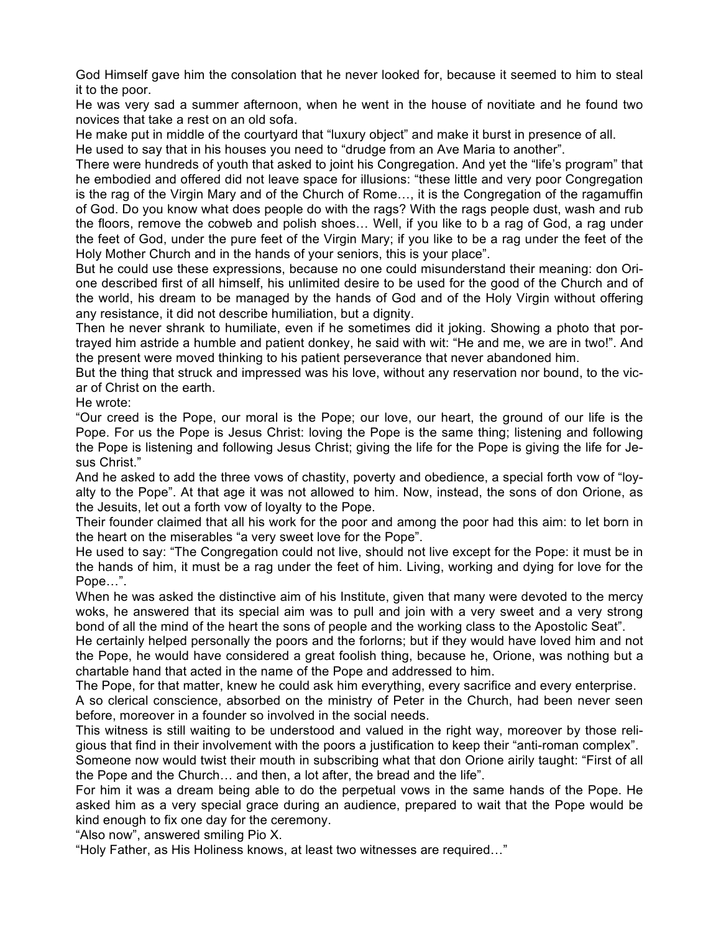God Himself gave him the consolation that he never looked for, because it seemed to him to steal it to the poor.

He was very sad a summer afternoon, when he went in the house of novitiate and he found two novices that take a rest on an old sofa.

He make put in middle of the courtyard that "luxury object" and make it burst in presence of all. He used to say that in his houses you need to "drudge from an Ave Maria to another".

There were hundreds of youth that asked to joint his Congregation. And yet the "life's program" that he embodied and offered did not leave space for illusions: "these little and very poor Congregation is the rag of the Virgin Mary and of the Church of Rome…, it is the Congregation of the ragamuffin of God. Do you know what does people do with the rags? With the rags people dust, wash and rub the floors, remove the cobweb and polish shoes… Well, if you like to b a rag of God, a rag under the feet of God, under the pure feet of the Virgin Mary; if you like to be a rag under the feet of the Holy Mother Church and in the hands of your seniors, this is your place".

But he could use these expressions, because no one could misunderstand their meaning: don Orione described first of all himself, his unlimited desire to be used for the good of the Church and of the world, his dream to be managed by the hands of God and of the Holy Virgin without offering any resistance, it did not describe humiliation, but a dignity.

Then he never shrank to humiliate, even if he sometimes did it joking. Showing a photo that portrayed him astride a humble and patient donkey, he said with wit: "He and me, we are in two!". And the present were moved thinking to his patient perseverance that never abandoned him.

But the thing that struck and impressed was his love, without any reservation nor bound, to the vicar of Christ on the earth.

He wrote:

"Our creed is the Pope, our moral is the Pope; our love, our heart, the ground of our life is the Pope. For us the Pope is Jesus Christ: loving the Pope is the same thing; listening and following the Pope is listening and following Jesus Christ; giving the life for the Pope is giving the life for Jesus Christ."

And he asked to add the three vows of chastity, poverty and obedience, a special forth vow of "loyalty to the Pope". At that age it was not allowed to him. Now, instead, the sons of don Orione, as the Jesuits, let out a forth vow of loyalty to the Pope.

Their founder claimed that all his work for the poor and among the poor had this aim: to let born in the heart on the miserables "a very sweet love for the Pope".

He used to say: "The Congregation could not live, should not live except for the Pope: it must be in the hands of him, it must be a rag under the feet of him. Living, working and dying for love for the Pope…".

When he was asked the distinctive aim of his Institute, given that many were devoted to the mercy woks, he answered that its special aim was to pull and join with a very sweet and a very strong bond of all the mind of the heart the sons of people and the working class to the Apostolic Seat".

He certainly helped personally the poors and the forlorns; but if they would have loved him and not the Pope, he would have considered a great foolish thing, because he, Orione, was nothing but a chartable hand that acted in the name of the Pope and addressed to him.

The Pope, for that matter, knew he could ask him everything, every sacrifice and every enterprise.

A so clerical conscience, absorbed on the ministry of Peter in the Church, had been never seen before, moreover in a founder so involved in the social needs.

This witness is still waiting to be understood and valued in the right way, moreover by those religious that find in their involvement with the poors a justification to keep their "anti-roman complex".

Someone now would twist their mouth in subscribing what that don Orione airily taught: "First of all the Pope and the Church… and then, a lot after, the bread and the life".

For him it was a dream being able to do the perpetual vows in the same hands of the Pope. He asked him as a very special grace during an audience, prepared to wait that the Pope would be kind enough to fix one day for the ceremony.

"Also now", answered smiling Pio X.

"Holy Father, as His Holiness knows, at least two witnesses are required…"